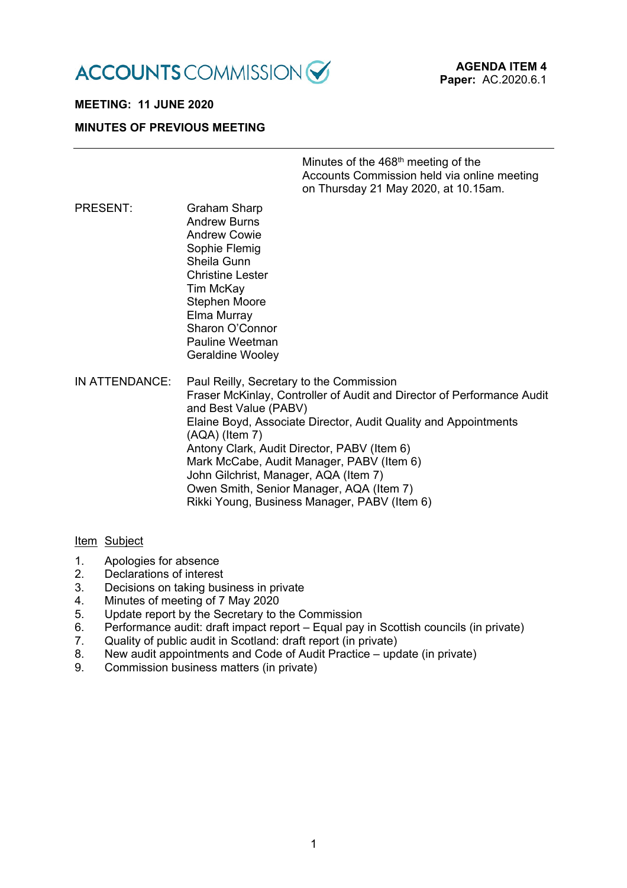

# **MEETING: 11 JUNE 2020 MINUTES OF PREVIOUS MEETING**

| Minutes of the 468 <sup>th</sup> meeting of the |  |
|-------------------------------------------------|--|
| Accounts Commission held via online meeting     |  |
| on Thursday 21 May 2020, at 10.15am.            |  |
|                                                 |  |

PRESENT: Graham Sharp Andrew Burns Andrew Cowie Sophie Flemig Sheila Gunn Christine Lester Tim McKay Stephen Moore Elma Murray Sharon O'Connor Pauline Weetman Geraldine Wooley

IN ATTENDANCE: Paul Reilly, Secretary to the Commission Fraser McKinlay, Controller of Audit and Director of Performance Audit and Best Value (PABV) Elaine Boyd, Associate Director, Audit Quality and Appointments (AQA) (Item 7) Antony Clark, Audit Director, PABV (Item 6) Mark McCabe, Audit Manager, PABV (Item 6) John Gilchrist, Manager, AQA (Item 7) Owen Smith, Senior Manager, AQA (Item 7) Rikki Young, Business Manager, PABV (Item 6)

#### Item Subject

- 1. Apologies for absence<br>2. Declarations of interest
- Declarations of interest
- 3. Decisions on taking business in private
- 4. Minutes of meeting of 7 May 2020
- 5. Update report by the Secretary to the Commission
- 6. Performance audit: draft impact report Equal pay in Scottish councils (in private)
- 7. Quality of public audit in Scotland: draft report (in private)
- 8. New audit appointments and Code of Audit Practice update (in private)
- 9. Commission business matters (in private)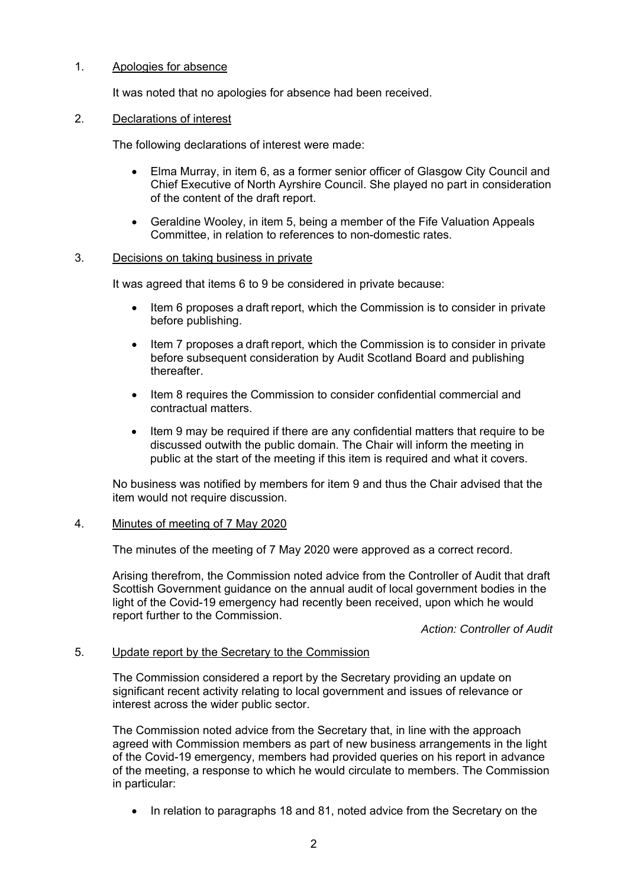### 1. Apologies for absence

It was noted that no apologies for absence had been received.

### 2. Declarations of interest

The following declarations of interest were made:

- Elma Murray, in item 6, as a former senior officer of Glasgow City Council and Chief Executive of North Ayrshire Council. She played no part in consideration of the content of the draft report.
- Geraldine Wooley, in item 5, being a member of the Fife Valuation Appeals Committee, in relation to references to non-domestic rates.

#### 3. Decisions on taking business in private

It was agreed that items 6 to 9 be considered in private because:

- Item 6 proposes a draft report, which the Commission is to consider in private before publishing.
- Item 7 proposes a draft report, which the Commission is to consider in private before subsequent consideration by Audit Scotland Board and publishing thereafter.
- Item 8 requires the Commission to consider confidential commercial and contractual matters.
- Item 9 may be required if there are any confidential matters that require to be discussed outwith the public domain. The Chair will inform the meeting in public at the start of the meeting if this item is required and what it covers.

No business was notified by members for item 9 and thus the Chair advised that the item would not require discussion.

# 4. Minutes of meeting of 7 May 2020

The minutes of the meeting of 7 May 2020 were approved as a correct record.

Arising therefrom, the Commission noted advice from the Controller of Audit that draft Scottish Government guidance on the annual audit of local government bodies in the light of the Covid-19 emergency had recently been received, upon which he would report further to the Commission.

*Action: Controller of Audit* 

# 5. Update report by the Secretary to the Commission

The Commission considered a report by the Secretary providing an update on significant recent activity relating to local government and issues of relevance or interest across the wider public sector.

The Commission noted advice from the Secretary that, in line with the approach agreed with Commission members as part of new business arrangements in the light of the Covid-19 emergency, members had provided queries on his report in advance of the meeting, a response to which he would circulate to members. The Commission in particular:

• In relation to paragraphs 18 and 81, noted advice from the Secretary on the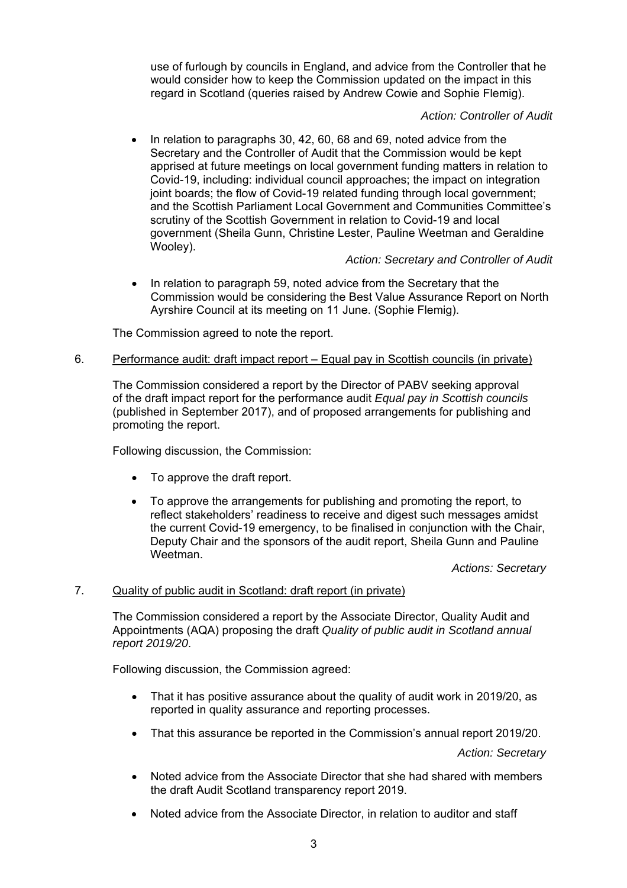use of furlough by councils in England, and advice from the Controller that he would consider how to keep the Commission updated on the impact in this regard in Scotland (queries raised by Andrew Cowie and Sophie Flemig).

# *Action: Controller of Audit*

 In relation to paragraphs 30, 42, 60, 68 and 69, noted advice from the Secretary and the Controller of Audit that the Commission would be kept apprised at future meetings on local government funding matters in relation to Covid-19, including: individual council approaches; the impact on integration joint boards; the flow of Covid-19 related funding through local government; and the Scottish Parliament Local Government and Communities Committee's scrutiny of the Scottish Government in relation to Covid-19 and local government (Sheila Gunn, Christine Lester, Pauline Weetman and Geraldine Wooley).

# *Action: Secretary and Controller of Audit*

• In relation to paragraph 59, noted advice from the Secretary that the Commission would be considering the Best Value Assurance Report on North Ayrshire Council at its meeting on 11 June. (Sophie Flemig).

The Commission agreed to note the report.

# 6. Performance audit: draft impact report – Equal pay in Scottish councils (in private)

The Commission considered a report by the Director of PABV seeking approval of the draft impact report for the performance audit *Equal pay in Scottish councils*  (published in September 2017), and of proposed arrangements for publishing and promoting the report.

Following discussion, the Commission:

- To approve the draft report.
- To approve the arrangements for publishing and promoting the report, to reflect stakeholders' readiness to receive and digest such messages amidst the current Covid-19 emergency, to be finalised in conjunction with the Chair, Deputy Chair and the sponsors of the audit report, Sheila Gunn and Pauline Weetman.

*Actions: Secretary* 

# 7. Quality of public audit in Scotland: draft report (in private)

The Commission considered a report by the Associate Director, Quality Audit and Appointments (AQA) proposing the draft *Quality of public audit in Scotland annual report 2019/20*.

Following discussion, the Commission agreed:

- That it has positive assurance about the quality of audit work in 2019/20, as reported in quality assurance and reporting processes.
- That this assurance be reported in the Commission's annual report 2019/20.

*Action: Secretary* 

- Noted advice from the Associate Director that she had shared with members the draft Audit Scotland transparency report 2019.
- Noted advice from the Associate Director, in relation to auditor and staff